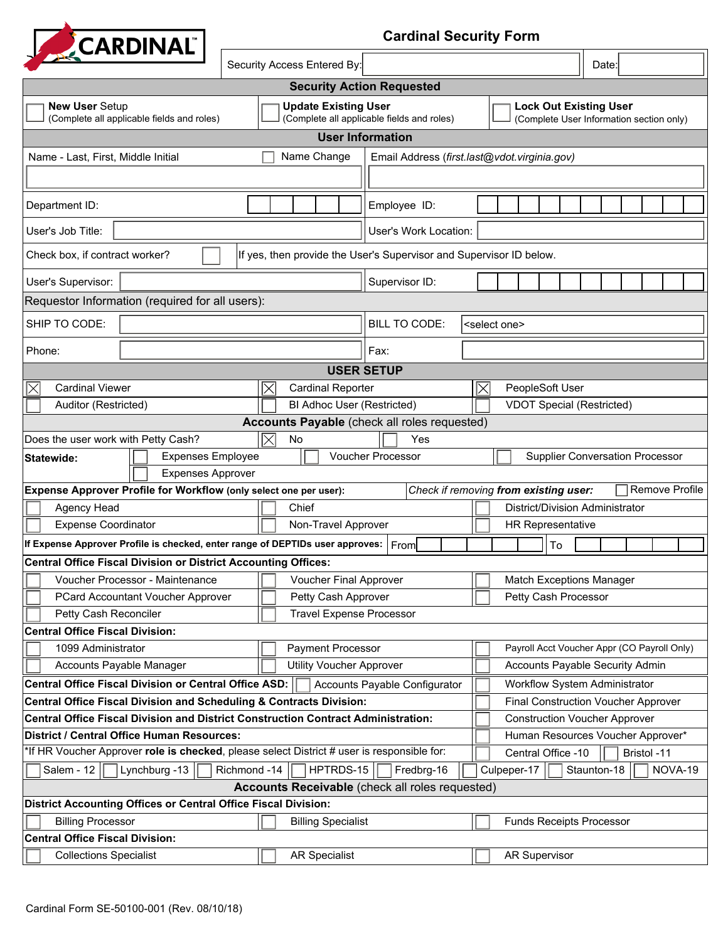

 $\Box$ 

| $\mathbf{r}$                                                                                                                           | Security Access Entered By:                                            |                                            | Date:                                                                     |  |  |  |  |  |  |  |  |
|----------------------------------------------------------------------------------------------------------------------------------------|------------------------------------------------------------------------|--------------------------------------------|---------------------------------------------------------------------------|--|--|--|--|--|--|--|--|
| <b>Security Action Requested</b>                                                                                                       |                                                                        |                                            |                                                                           |  |  |  |  |  |  |  |  |
| <b>New User Setup</b><br>(Complete all applicable fields and roles)                                                                    | <b>Update Existing User</b>                                            | (Complete all applicable fields and roles) | <b>Lock Out Existing User</b><br>(Complete User Information section only) |  |  |  |  |  |  |  |  |
| <b>User Information</b>                                                                                                                |                                                                        |                                            |                                                                           |  |  |  |  |  |  |  |  |
| Name Change<br>Email Address (first.last@vdot.virginia.gov)<br>Name - Last, First, Middle Initial                                      |                                                                        |                                            |                                                                           |  |  |  |  |  |  |  |  |
|                                                                                                                                        |                                                                        |                                            |                                                                           |  |  |  |  |  |  |  |  |
| Department ID:                                                                                                                         |                                                                        | Employee ID:                               |                                                                           |  |  |  |  |  |  |  |  |
| User's Job Title:                                                                                                                      |                                                                        | User's Work Location:                      |                                                                           |  |  |  |  |  |  |  |  |
| If yes, then provide the User's Supervisor and Supervisor ID below.<br>Check box, if contract worker?                                  |                                                                        |                                            |                                                                           |  |  |  |  |  |  |  |  |
| User's Supervisor:                                                                                                                     |                                                                        | Supervisor ID:                             |                                                                           |  |  |  |  |  |  |  |  |
| Requestor Information (required for all users):                                                                                        |                                                                        |                                            |                                                                           |  |  |  |  |  |  |  |  |
| SHIP TO CODE:                                                                                                                          | $\left  \mathbf{v} \right $                                            | <b>BILL TO CODE:</b>                       | <select one=""></select>                                                  |  |  |  |  |  |  |  |  |
|                                                                                                                                        |                                                                        |                                            |                                                                           |  |  |  |  |  |  |  |  |
| Phone:                                                                                                                                 |                                                                        | Fax:                                       |                                                                           |  |  |  |  |  |  |  |  |
| <b>USER SETUP</b><br><b>Cardinal Viewer</b><br><b>Cardinal Reporter</b>                                                                |                                                                        |                                            |                                                                           |  |  |  |  |  |  |  |  |
| Auditor (Restricted)                                                                                                                   | IХ                                                                     |                                            | PeopleSoft User<br>$\times$<br><b>VDOT Special (Restricted)</b>           |  |  |  |  |  |  |  |  |
| BI Adhoc User (Restricted)<br>Accounts Payable (check all roles requested)                                                             |                                                                        |                                            |                                                                           |  |  |  |  |  |  |  |  |
| Does the user work with Petty Cash?<br>Yes<br>IX<br>No                                                                                 |                                                                        |                                            |                                                                           |  |  |  |  |  |  |  |  |
| <b>Expenses Employee</b><br>Statewide:                                                                                                 |                                                                        | Voucher Processor                          | <b>Supplier Conversation Processor</b>                                    |  |  |  |  |  |  |  |  |
| <b>Expenses Approver</b>                                                                                                               |                                                                        |                                            |                                                                           |  |  |  |  |  |  |  |  |
| Remove Profile<br>Expense Approver Profile for Workflow (only select one per user):<br>Check if removing from existing user:           |                                                                        |                                            |                                                                           |  |  |  |  |  |  |  |  |
| Agency Head                                                                                                                            | Chief                                                                  |                                            | District/Division Administrator                                           |  |  |  |  |  |  |  |  |
| <b>Expense Coordinator</b>                                                                                                             | Non-Travel Approver                                                    |                                            | <b>HR Representative</b>                                                  |  |  |  |  |  |  |  |  |
| If Expense Approver Profile is checked, enter range of DEPTIDs user approves: $\vert$ F $_{\sf FOM}$                                   |                                                                        |                                            | To                                                                        |  |  |  |  |  |  |  |  |
| <b>Central Office Fiscal Division or District Accounting Offices:</b>                                                                  |                                                                        |                                            |                                                                           |  |  |  |  |  |  |  |  |
| Voucher Processor - Maintenance                                                                                                        | <b>Voucher Final Approver</b>                                          |                                            | <b>Match Exceptions Manager</b>                                           |  |  |  |  |  |  |  |  |
| PCard Accountant Voucher Approver                                                                                                      | Petty Cash Approver                                                    |                                            | Petty Cash Processor                                                      |  |  |  |  |  |  |  |  |
| Petty Cash Reconciler                                                                                                                  | <b>Travel Expense Processor</b>                                        |                                            |                                                                           |  |  |  |  |  |  |  |  |
| <b>Central Office Fiscal Division:</b>                                                                                                 |                                                                        |                                            |                                                                           |  |  |  |  |  |  |  |  |
| 1099 Administrator                                                                                                                     | Payment Processor                                                      |                                            | Payroll Acct Voucher Appr (CO Payroll Only)                               |  |  |  |  |  |  |  |  |
| Accounts Payable Manager                                                                                                               | <b>Utility Voucher Approver</b>                                        |                                            | <b>Accounts Payable Security Admin</b>                                    |  |  |  |  |  |  |  |  |
| <b>Central Office Fiscal Division or Central Office ASD:</b>                                                                           | Accounts Payable Configurator                                          | Workflow System Administrator              |                                                                           |  |  |  |  |  |  |  |  |
| <b>Central Office Fiscal Division and Scheduling &amp; Contracts Division:</b>                                                         | Final Construction Voucher Approver                                    |                                            |                                                                           |  |  |  |  |  |  |  |  |
| <b>Central Office Fiscal Division and District Construction Contract Administration:</b><br>District / Central Office Human Resources: | <b>Construction Voucher Approver</b>                                   |                                            |                                                                           |  |  |  |  |  |  |  |  |
| *If HR Voucher Approver role is checked, please select District # user is responsible for:                                             | Human Resources Voucher Approver*<br>Central Office -10<br>Bristol -11 |                                            |                                                                           |  |  |  |  |  |  |  |  |
| Salem - 12<br>Lynchburg -13 $\vert$<br>Richmond -14                                                                                    | Culpeper-17<br>Staunton-18<br>NOVA-19                                  |                                            |                                                                           |  |  |  |  |  |  |  |  |
| HPTRDS-15<br>Fredbrg-16<br>Accounts Receivable (check all roles requested)                                                             |                                                                        |                                            |                                                                           |  |  |  |  |  |  |  |  |
| <b>District Accounting Offices or Central Office Fiscal Division:</b>                                                                  |                                                                        |                                            |                                                                           |  |  |  |  |  |  |  |  |
| <b>Billing Processor</b>                                                                                                               | <b>Billing Specialist</b>                                              |                                            | <b>Funds Receipts Processor</b>                                           |  |  |  |  |  |  |  |  |
| <b>Central Office Fiscal Division:</b>                                                                                                 |                                                                        |                                            |                                                                           |  |  |  |  |  |  |  |  |
| <b>Collections Specialist</b>                                                                                                          | <b>AR Specialist</b>                                                   |                                            | <b>AR Supervisor</b>                                                      |  |  |  |  |  |  |  |  |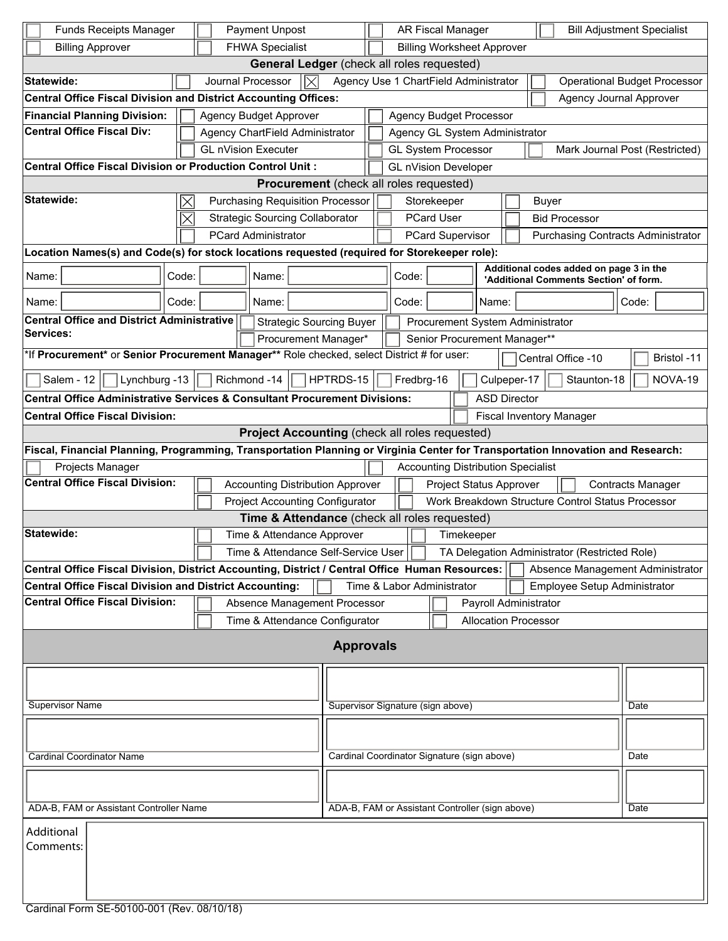| <b>Funds Receipts Manager</b><br>Payment Unpost                                                  |                                                                                                                                 |       |  |  |                                                            | AR Fiscal Manager                               |                                                                                                |                                                                                            |                                           |                                  |      |       |  |         | <b>Bill Adjustment Specialist</b> |                                               |       |                                  |
|--------------------------------------------------------------------------------------------------|---------------------------------------------------------------------------------------------------------------------------------|-------|--|--|------------------------------------------------------------|-------------------------------------------------|------------------------------------------------------------------------------------------------|--------------------------------------------------------------------------------------------|-------------------------------------------|----------------------------------|------|-------|--|---------|-----------------------------------|-----------------------------------------------|-------|----------------------------------|
| <b>FHWA Specialist</b><br><b>Billing Approver</b>                                                |                                                                                                                                 |       |  |  |                                                            |                                                 | <b>Billing Worksheet Approver</b>                                                              |                                                                                            |                                           |                                  |      |       |  |         |                                   |                                               |       |                                  |
| General Ledger (check all roles requested)                                                       |                                                                                                                                 |       |  |  |                                                            |                                                 |                                                                                                |                                                                                            |                                           |                                  |      |       |  |         |                                   |                                               |       |                                  |
|                                                                                                  | Agency Use 1 ChartField Administrator<br>Statewide:<br>Journal Processor<br><b>Operational Budget Processor</b>                 |       |  |  |                                                            |                                                 |                                                                                                |                                                                                            |                                           |                                  |      |       |  |         |                                   |                                               |       |                                  |
|                                                                                                  | <b>Central Office Fiscal Division and District Accounting Offices:</b><br><b>Agency Journal Approver</b>                        |       |  |  |                                                            |                                                 |                                                                                                |                                                                                            |                                           |                                  |      |       |  |         |                                   |                                               |       |                                  |
|                                                                                                  | <b>Financial Planning Division:</b><br><b>Agency Budget Approver</b><br><b>Agency Budget Processor</b>                          |       |  |  |                                                            |                                                 |                                                                                                |                                                                                            |                                           |                                  |      |       |  |         |                                   |                                               |       |                                  |
| <b>Central Office Fiscal Div:</b><br>Agency ChartField Administrator                             |                                                                                                                                 |       |  |  |                                                            |                                                 | Agency GL System Administrator                                                                 |                                                                                            |                                           |                                  |      |       |  |         |                                   |                                               |       |                                  |
|                                                                                                  |                                                                                                                                 |       |  |  | <b>GL nVision Executer</b>                                 |                                                 |                                                                                                |                                                                                            | <b>GL System Processor</b>                |                                  |      |       |  |         |                                   |                                               |       | Mark Journal Post (Restricted)   |
| <b>Central Office Fiscal Division or Production Control Unit:</b><br><b>GL nVision Developer</b> |                                                                                                                                 |       |  |  |                                                            |                                                 |                                                                                                |                                                                                            |                                           |                                  |      |       |  |         |                                   |                                               |       |                                  |
|                                                                                                  | <b>Procurement</b> (check all roles requested)                                                                                  |       |  |  |                                                            |                                                 |                                                                                                |                                                                                            |                                           |                                  |      |       |  |         |                                   |                                               |       |                                  |
|                                                                                                  | Statewide:                                                                                                                      |       |  |  |                                                            |                                                 | <b>Purchasing Requisition Processor</b><br>Storekeeper<br>Buyer                                |                                                                                            |                                           |                                  |      |       |  |         |                                   |                                               |       |                                  |
|                                                                                                  |                                                                                                                                 |       |  |  | <b>Strategic Sourcing Collaborator</b>                     |                                                 |                                                                                                | <b>PCard User</b><br><b>Bid Processor</b>                                                  |                                           |                                  |      |       |  |         |                                   |                                               |       |                                  |
|                                                                                                  |                                                                                                                                 |       |  |  | <b>PCard Administrator</b>                                 |                                                 |                                                                                                | <b>PCard Supervisor</b><br><b>Purchasing Contracts Administrator</b>                       |                                           |                                  |      |       |  |         |                                   |                                               |       |                                  |
|                                                                                                  | Location Names(s) and Code(s) for stock locations requested (required for Storekeeper role):                                    |       |  |  |                                                            |                                                 |                                                                                                |                                                                                            |                                           |                                  |      |       |  |         |                                   |                                               |       |                                  |
| Name:                                                                                            |                                                                                                                                 | Code: |  |  | Name:                                                      |                                                 |                                                                                                | Additional codes added on page 3 in the<br>Code:<br>'Additional Comments Section' of form. |                                           |                                  |      |       |  |         |                                   |                                               |       |                                  |
| Name:                                                                                            |                                                                                                                                 | Code: |  |  | Name:                                                      |                                                 |                                                                                                |                                                                                            | Code:                                     |                                  |      | Name: |  |         |                                   |                                               | Code: |                                  |
|                                                                                                  | <b>Central Office and District Administrative</b>                                                                               |       |  |  |                                                            |                                                 | <b>Strategic Sourcing Buyer</b>                                                                |                                                                                            |                                           | Procurement System Administrator |      |       |  |         |                                   |                                               |       |                                  |
| Services:                                                                                        |                                                                                                                                 |       |  |  |                                                            |                                                 | Procurement Manager*                                                                           |                                                                                            |                                           | Senior Procurement Manager**     |      |       |  |         |                                   |                                               |       |                                  |
|                                                                                                  | *If Procurement* or Senior Procurement Manager** Role checked, select District # for user:                                      |       |  |  |                                                            |                                                 |                                                                                                |                                                                                            |                                           |                                  |      |       |  |         | Central Office -10                |                                               |       | Bristol -11                      |
|                                                                                                  | Salem - 12<br>Lynchburg -13                                                                                                     |       |  |  | Richmond -14                                               |                                                 | HPTRDS-15                                                                                      | Culpeper-17<br>Staunton-18<br>Fredbrg-16                                                   |                                           |                                  |      |       |  | NOVA-19 |                                   |                                               |       |                                  |
|                                                                                                  | <b>Central Office Administrative Services &amp; Consultant Procurement Divisions:</b>                                           |       |  |  |                                                            |                                                 |                                                                                                | <b>ASD Director</b>                                                                        |                                           |                                  |      |       |  |         |                                   |                                               |       |                                  |
|                                                                                                  | <b>Central Office Fiscal Division:</b>                                                                                          |       |  |  |                                                            |                                                 |                                                                                                | <b>Fiscal Inventory Manager</b>                                                            |                                           |                                  |      |       |  |         |                                   |                                               |       |                                  |
|                                                                                                  |                                                                                                                                 |       |  |  | Project Accounting (check all roles requested)             |                                                 |                                                                                                |                                                                                            |                                           |                                  |      |       |  |         |                                   |                                               |       |                                  |
|                                                                                                  | Fiscal, Financial Planning, Programming, Transportation Planning or Virginia Center for Transportation Innovation and Research: |       |  |  |                                                            |                                                 |                                                                                                |                                                                                            |                                           |                                  |      |       |  |         |                                   |                                               |       |                                  |
|                                                                                                  | Projects Manager                                                                                                                |       |  |  |                                                            |                                                 |                                                                                                |                                                                                            | <b>Accounting Distribution Specialist</b> |                                  |      |       |  |         |                                   |                                               |       |                                  |
|                                                                                                  | <b>Central Office Fiscal Division:</b>                                                                                          |       |  |  |                                                            |                                                 | Project Status Approver<br><b>Contracts Manager</b><br><b>Accounting Distribution Approver</b> |                                                                                            |                                           |                                  |      |       |  |         |                                   |                                               |       |                                  |
|                                                                                                  |                                                                                                                                 |       |  |  |                                                            |                                                 | <b>Project Accounting Configurator</b><br>Work Breakdown Structure Control Status Processor    |                                                                                            |                                           |                                  |      |       |  |         |                                   |                                               |       |                                  |
|                                                                                                  |                                                                                                                                 |       |  |  | Time & Attendance (check all roles requested)              |                                                 |                                                                                                |                                                                                            |                                           |                                  |      |       |  |         |                                   |                                               |       |                                  |
|                                                                                                  | Statewide:                                                                                                                      |       |  |  | Time & Attendance Approver                                 |                                                 |                                                                                                |                                                                                            |                                           | Timekeeper                       |      |       |  |         |                                   |                                               |       |                                  |
|                                                                                                  |                                                                                                                                 |       |  |  | Time & Attendance Self-Service User   □                    |                                                 |                                                                                                |                                                                                            |                                           |                                  |      |       |  |         |                                   | TA Delegation Administrator (Restricted Role) |       |                                  |
|                                                                                                  | Central Office Fiscal Division, District Accounting, District / Central Office Human Resources:                                 |       |  |  |                                                            |                                                 |                                                                                                |                                                                                            |                                           |                                  |      |       |  |         |                                   |                                               |       | Absence Management Administrator |
| <b>Central Office Fiscal Division and District Accounting:</b>                                   |                                                                                                                                 |       |  |  | Time & Labor Administrator<br>Employee Setup Administrator |                                                 |                                                                                                |                                                                                            |                                           |                                  |      |       |  |         |                                   |                                               |       |                                  |
|                                                                                                  | <b>Central Office Fiscal Division:</b>                                                                                          |       |  |  |                                                            |                                                 | Absence Management Processor<br>Payroll Administrator                                          |                                                                                            |                                           |                                  |      |       |  |         |                                   |                                               |       |                                  |
|                                                                                                  |                                                                                                                                 |       |  |  |                                                            |                                                 | <b>Allocation Processor</b><br>Time & Attendance Configurator                                  |                                                                                            |                                           |                                  |      |       |  |         |                                   |                                               |       |                                  |
|                                                                                                  |                                                                                                                                 |       |  |  |                                                            |                                                 | <b>Approvals</b>                                                                               |                                                                                            |                                           |                                  |      |       |  |         |                                   |                                               |       |                                  |
|                                                                                                  |                                                                                                                                 |       |  |  |                                                            |                                                 |                                                                                                |                                                                                            |                                           |                                  |      |       |  |         |                                   |                                               |       |                                  |
|                                                                                                  |                                                                                                                                 |       |  |  |                                                            |                                                 |                                                                                                |                                                                                            |                                           |                                  |      |       |  |         |                                   |                                               |       |                                  |
| <b>Supervisor Name</b>                                                                           |                                                                                                                                 |       |  |  | Supervisor Signature (sign above)                          |                                                 |                                                                                                |                                                                                            |                                           |                                  | Date |       |  |         |                                   |                                               |       |                                  |
|                                                                                                  |                                                                                                                                 |       |  |  |                                                            |                                                 |                                                                                                |                                                                                            |                                           |                                  |      |       |  |         |                                   |                                               |       |                                  |
|                                                                                                  |                                                                                                                                 |       |  |  |                                                            |                                                 |                                                                                                |                                                                                            |                                           |                                  |      |       |  |         |                                   |                                               |       |                                  |
| <b>Cardinal Coordinator Name</b>                                                                 |                                                                                                                                 |       |  |  | Cardinal Coordinator Signature (sign above)                |                                                 |                                                                                                |                                                                                            |                                           |                                  |      | Date  |  |         |                                   |                                               |       |                                  |
|                                                                                                  |                                                                                                                                 |       |  |  |                                                            |                                                 |                                                                                                |                                                                                            |                                           |                                  |      |       |  |         |                                   |                                               |       |                                  |
|                                                                                                  |                                                                                                                                 |       |  |  |                                                            |                                                 |                                                                                                |                                                                                            |                                           |                                  |      |       |  |         |                                   |                                               |       |                                  |
| ADA-B, FAM or Assistant Controller Name                                                          |                                                                                                                                 |       |  |  |                                                            | ADA-B, FAM or Assistant Controller (sign above) |                                                                                                |                                                                                            |                                           |                                  |      |       |  | Date    |                                   |                                               |       |                                  |
|                                                                                                  | Additional                                                                                                                      |       |  |  |                                                            |                                                 |                                                                                                |                                                                                            |                                           |                                  |      |       |  |         |                                   |                                               |       |                                  |
|                                                                                                  | Comments:                                                                                                                       |       |  |  |                                                            |                                                 |                                                                                                |                                                                                            |                                           |                                  |      |       |  |         |                                   |                                               |       |                                  |
|                                                                                                  |                                                                                                                                 |       |  |  |                                                            |                                                 |                                                                                                |                                                                                            |                                           |                                  |      |       |  |         |                                   |                                               |       |                                  |
|                                                                                                  |                                                                                                                                 |       |  |  |                                                            |                                                 |                                                                                                |                                                                                            |                                           |                                  |      |       |  |         |                                   |                                               |       |                                  |
|                                                                                                  |                                                                                                                                 |       |  |  |                                                            |                                                 |                                                                                                |                                                                                            |                                           |                                  |      |       |  |         |                                   |                                               |       |                                  |